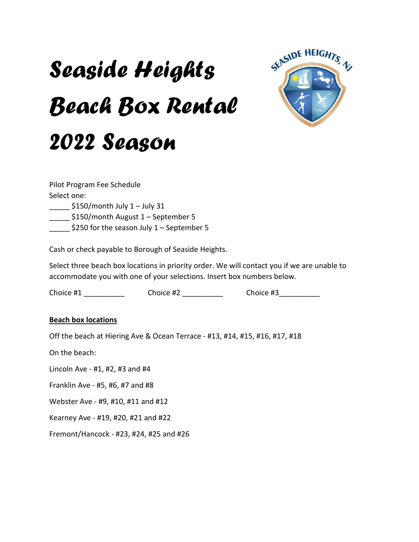## *Seaside Heights Beach Box Rental 2022 Season*



Pilot Program Fee Schedule Select one: \_\_\_\_\_ \$150/month July 1 – July 31 \_\_\_\_\_ \$150/month August 1 – September 5  $$250$  for the season July 1 – September 5

Cash or check payable to Borough of Seaside Heights.

Select three beach box locations in priority order. We will contact you if we are unable to accommodate you with one of your selections. Insert box numbers below.

Choice #1 \_\_\_\_\_\_\_\_\_\_\_\_\_\_\_\_ Choice #2 \_\_\_\_\_\_\_\_\_\_\_\_\_\_ Choice #3 \_\_\_\_\_\_\_\_\_\_\_

## **Beach box locations**

Off the beach at Hiering Ave & Ocean Terrace - #13, #14, #15, #16, #17, #18

On the beach:

Lincoln Ave - #1, #2, #3 and #4

Franklin Ave - #5, #6, #7 and #8

Webster Ave - #9, #10, #11 and #12

Kearney Ave - #19, #20, #21 and #22

Fremont/Hancock - #23, #24, #25 and #26